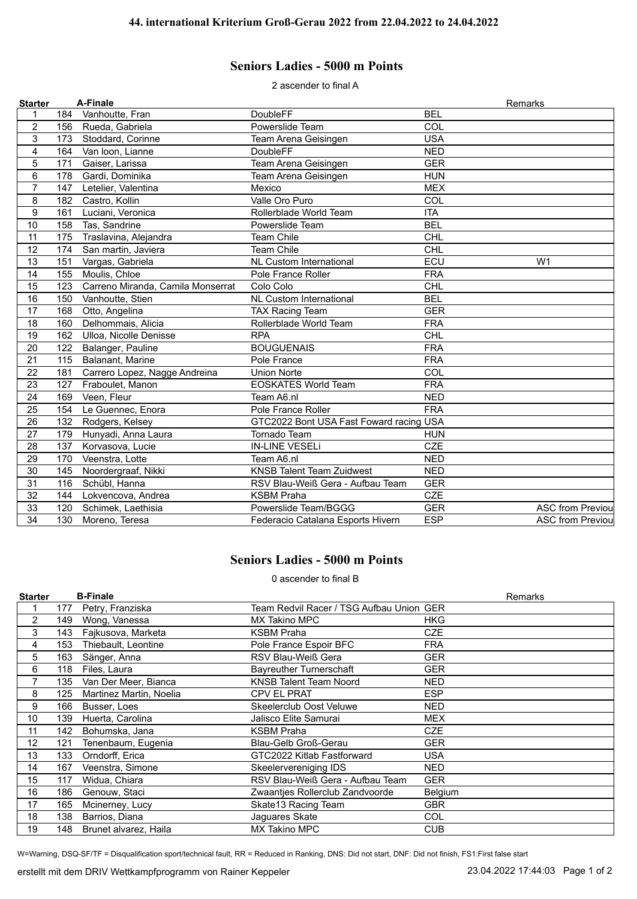## **Seniors Ladies - 5000 m Points**

2 ascender to final A

| <b>Starter</b>          |     | A-Finale                          |                                         |            | Remarks                  |
|-------------------------|-----|-----------------------------------|-----------------------------------------|------------|--------------------------|
| 1                       | 184 | Vanhoutte, Fran                   | <b>DoubleFF</b>                         | <b>BEL</b> |                          |
| $\overline{2}$          | 156 | Rueda, Gabriela                   | Powerslide Team                         | COL        |                          |
| 3                       | 173 | Stoddard, Corinne                 | Team Arena Geisingen                    | <b>USA</b> |                          |
| $\overline{\mathbf{4}}$ | 164 | Van Ioon, Lianne                  | <b>DoubleFF</b>                         | <b>NED</b> |                          |
| 5                       | 171 | Gaiser, Larissa                   | Team Arena Geisingen                    | <b>GER</b> |                          |
| 6                       | 178 | Gardi, Dominika                   | Team Arena Geisingen                    | <b>HUN</b> |                          |
| $\overline{7}$          | 147 | Letelier, Valentina               | Mexico                                  | <b>MEX</b> |                          |
| 8                       | 182 | Castro, Kollin                    | Valle Oro Puro                          | COL        |                          |
| 9                       | 161 | Luciani, Veronica                 | Rollerblade World Team                  | <b>ITA</b> |                          |
| 10                      | 158 | Tas, Sandrine                     | Powerslide Team                         | <b>BEL</b> |                          |
| 11                      | 175 | Traslavina, Alejandra             | <b>Team Chile</b>                       | <b>CHL</b> |                          |
| 12                      | 174 | San martin, Javiera               | <b>Team Chile</b>                       | <b>CHL</b> |                          |
| 13                      | 151 | Vargas, Gabriela                  | <b>NL Custom International</b>          | ECU        | W <sub>1</sub>           |
| 14                      | 155 | Moulis, Chloe                     | Pole France Roller                      | <b>FRA</b> |                          |
| 15                      | 123 | Carreno Miranda, Camila Monserrat | Colo Colo                               | <b>CHL</b> |                          |
| 16                      | 150 | Vanhoutte, Stien                  | <b>NL Custom International</b>          | <b>BEL</b> |                          |
| 17                      | 168 | Otto, Angelina                    | <b>TAX Racing Team</b>                  | <b>GER</b> |                          |
| 18                      | 160 | Delhommais, Alicia                | Rollerblade World Team                  | <b>FRA</b> |                          |
| 19                      | 162 | Ulloa, Nicolle Denisse            | <b>RPA</b>                              | <b>CHL</b> |                          |
| 20                      | 122 | Balanger, Pauline                 | <b>BOUGUENAIS</b>                       | <b>FRA</b> |                          |
| 21                      | 115 | Balanant, Marine                  | Pole France                             | <b>FRA</b> |                          |
| 22                      | 181 | Carrero Lopez, Nagge Andreina     | <b>Union Norte</b>                      | COL        |                          |
| 23                      | 127 | Fraboulet, Manon                  | <b>EOSKATES World Team</b>              | <b>FRA</b> |                          |
| 24                      | 169 | Veen, Fleur                       | Team A6.nl                              | <b>NED</b> |                          |
| 25                      | 154 | Le Guennec, Enora                 | Pole France Roller                      | <b>FRA</b> |                          |
| 26                      | 132 | Rodgers, Kelsey                   | GTC2022 Bont USA Fast Foward racing USA |            |                          |
| 27                      | 179 | Hunyadi, Anna Laura               | <b>Tornado Team</b>                     | <b>HUN</b> |                          |
| 28                      | 137 | Korvasova, Lucie                  | <b>IN-LINE VESELi</b>                   | <b>CZE</b> |                          |
| 29                      | 170 | Veenstra, Lotte                   | Team A6.nl                              | <b>NED</b> |                          |
| 30                      | 145 | Noordergraaf, Nikki               | <b>KNSB Talent Team Zuidwest</b>        | <b>NED</b> |                          |
| 31                      | 116 | Schübl, Hanna                     | RSV Blau-Weiß Gera - Aufbau Team        | <b>GER</b> |                          |
| 32                      | 144 | Lokvencova, Andrea                | <b>KSBM Praha</b>                       | <b>CZE</b> |                          |
| 33                      | 120 | Schimek, Laethisia                | Powerslide Team/BGGG                    | <b>GER</b> | <b>ASC from Previoul</b> |
| 34                      | 130 | Moreno, Teresa                    | Federacio Catalana Esports Hivern       | <b>ESP</b> | <b>ASC from Previou</b>  |

## **Seniors Ladies - 5000 m Points**

0 ascender to final B

| <b>Starter</b> |     | <b>B-Finale</b>         |                                          | Remarks    |
|----------------|-----|-------------------------|------------------------------------------|------------|
|                | 177 | Petry, Franziska        | Team Redvil Racer / TSG Aufbau Union GER |            |
| 2              | 149 | Wong, Vanessa           | MX Takino MPC                            | <b>HKG</b> |
| 3              | 143 | Fajkusova, Marketa      | <b>KSBM Praha</b>                        | <b>CZE</b> |
| 4              | 153 | Thiebault, Leontine     | Pole France Espoir BFC                   | <b>FRA</b> |
| 5              | 163 | Sänger, Anna            | RSV Blau-Weiß Gera                       | <b>GER</b> |
| 6              | 118 | Files, Laura            | <b>Bayreuther Turnerschaft</b>           | <b>GER</b> |
|                | 135 | Van Der Meer, Bianca    | <b>KNSB Talent Team Noord</b>            | <b>NED</b> |
| 8              | 125 | Martinez Martin, Noelia | <b>CPV EL PRAT</b>                       | <b>ESP</b> |
| 9              | 166 | Busser, Loes            | <b>Skeelerclub Oost Veluwe</b>           | <b>NED</b> |
| 10             | 139 | Huerta, Carolina        | Jalisco Elite Samurai                    | <b>MEX</b> |
| 11             | 142 | Bohumska, Jana          | KSBM Praha                               | CZE        |
| 12             | 121 | Tenenbaum, Eugenia      | Blau-Gelb Groß-Gerau                     | <b>GER</b> |
| 13             | 133 | Orndorff, Erica         | GTC2022 Kitlab Fastforward               | <b>USA</b> |
| 14             | 167 | Veenstra, Simone        | Skeelervereniging IDS                    | <b>NED</b> |
| 15             | 117 | Widua, Chiara           | RSV Blau-Weiß Gera - Aufbau Team         | <b>GER</b> |
| 16             | 186 | Genouw, Staci           | Zwaantjes Rollerclub Zandvoorde          | Belgium    |
| 17             | 165 | Mcinerney, Lucy         | Skate13 Racing Team                      | <b>GBR</b> |
| 18             | 138 | Barrios, Diana          | Jaguares Skate                           | <b>COL</b> |
| 19             | 148 | Brunet alvarez, Haila   | <b>MX Takino MPC</b>                     | <b>CUB</b> |

W=Warning, DSQ-SF/TF = Disqualification sport/technical fault, RR = Reduced in Ranking, DNS: Did not start, DNF: Did not finish, FS1:First false start